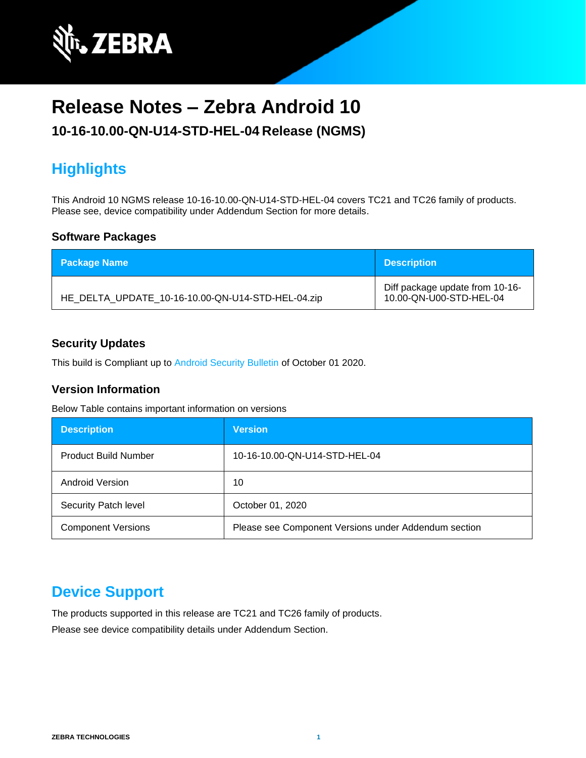

# **Release Notes – Zebra Android 10**

### **10-16-10.00-QN-U14-STD-HEL-04 Release (NGMS)**

# **Highlights**

This Android 10 NGMS release 10-16-10.00-QN-U14-STD-HEL-04 covers TC21 and TC26 family of products. Please see, device compatibility under Addendum Section for more details.

#### **Software Packages**

| <b>Package Name</b>                               | <b>Description</b>                                         |
|---------------------------------------------------|------------------------------------------------------------|
| HE_DELTA_UPDATE_10-16-10.00-QN-U14-STD-HEL-04.zip | Diff package update from 10-16-<br>10.00-QN-U00-STD-HEL-04 |

#### **Security Updates**

This build is Compliant up to [Android Security Bulletin](https://source.android.com/security/bulletin/) of October 01 2020.

#### **Version Information**

Below Table contains important information on versions

| <b>Description</b>          | <b>Version</b>                                       |
|-----------------------------|------------------------------------------------------|
| <b>Product Build Number</b> | 10-16-10.00-QN-U14-STD-HEL-04                        |
| <b>Android Version</b>      | 10                                                   |
| Security Patch level        | October 01, 2020                                     |
| <b>Component Versions</b>   | Please see Component Versions under Addendum section |

### **Device Support**

The products supported in this release are TC21 and TC26 family of products.

Please see device compatibility details under Addendum Section.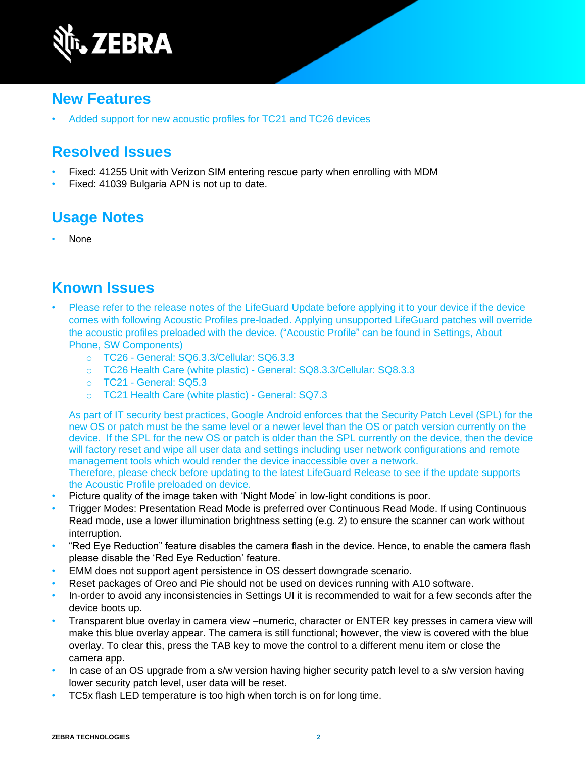

### **New Features**

• Added support for new acoustic profiles for TC21 and TC26 devices

### **Resolved Issues**

- Fixed: 41255 Unit with Verizon SIM entering rescue party when enrolling with MDM
- Fixed: 41039 Bulgaria APN is not up to date.

## **Usage Notes**

• None

### **Known Issues**

- Please refer to the release notes of the LifeGuard Update before applying it to your device if the device comes with following Acoustic Profiles pre-loaded. Applying unsupported LifeGuard patches will override the acoustic profiles preloaded with the device. ("Acoustic Profile" can be found in Settings, About Phone, SW Components)
	- o TC26 General: SQ6.3.3/Cellular: SQ6.3.3
	- o TC26 Health Care (white plastic) General: SQ8.3.3/Cellular: SQ8.3.3
	- o TC21 General: SQ5.3
	- o TC21 Health Care (white plastic) General: SQ7.3

As part of IT security best practices, Google Android enforces that the Security Patch Level (SPL) for the new OS or patch must be the same level or a newer level than the OS or patch version currently on the device. If the SPL for the new OS or patch is older than the SPL currently on the device, then the device will factory reset and wipe all user data and settings including user network configurations and remote management tools which would render the device inaccessible over a network. Therefore, please check before updating to the latest LifeGuard Release to see if the update supports

the Acoustic Profile preloaded on device.

- Picture quality of the image taken with 'Night Mode' in low-light conditions is poor.
- Trigger Modes: Presentation Read Mode is preferred over Continuous Read Mode. If using Continuous Read mode, use a lower illumination brightness setting (e.g. 2) to ensure the scanner can work without interruption.
- "Red Eye Reduction" feature disables the camera flash in the device. Hence, to enable the camera flash please disable the 'Red Eye Reduction' feature.
- EMM does not support agent persistence in OS dessert downgrade scenario.
- Reset packages of Oreo and Pie should not be used on devices running with A10 software.
- In-order to avoid any inconsistencies in Settings UI it is recommended to wait for a few seconds after the device boots up.
- Transparent blue overlay in camera view –numeric, character or ENTER key presses in camera view will make this blue overlay appear. The camera is still functional; however, the view is covered with the blue overlay. To clear this, press the TAB key to move the control to a different menu item or close the camera app.
- In case of an OS upgrade from a s/w version having higher security patch level to a s/w version having lower security patch level, user data will be reset.
- TC5x flash LED temperature is too high when torch is on for long time.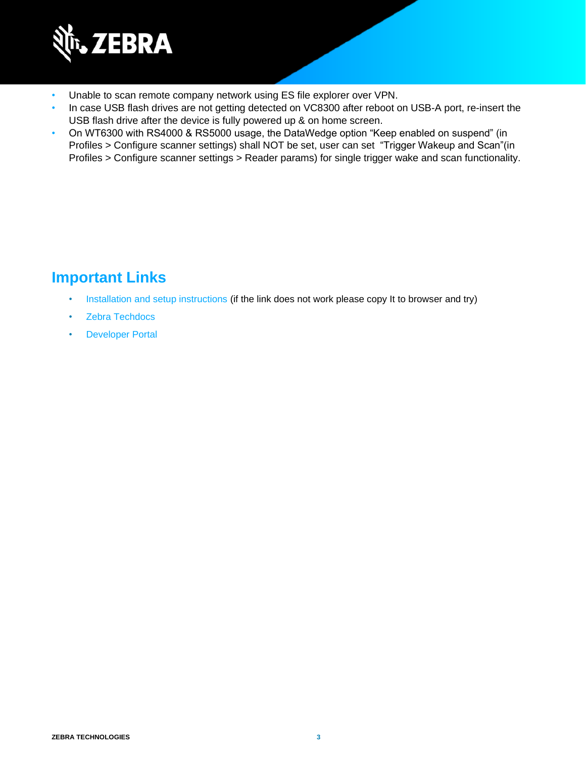

- Unable to scan remote company network using ES file explorer over VPN.
- In case USB flash drives are not getting detected on VC8300 after reboot on USB-A port, re-insert the USB flash drive after the device is fully powered up & on home screen.
- On WT6300 with RS4000 & RS5000 usage, the DataWedge option "Keep enabled on suspend" (in Profiles > Configure scanner settings) shall NOT be set, user can set "Trigger Wakeup and Scan"(in Profiles > Configure scanner settings > Reader params) for single trigger wake and scan functionality.

### **Important Links**

- [Installation and setup instructions](https://www.zebra.com/content/dam/zebra_new_ia/en-us/software/operating-system/helios/a10-os-update-instructions.pdf) (if the link does not work please copy It to browser and try)
- [Zebra Techdocs](http://techdocs.zebra.com/)
- [Developer Portal](http://developer.zebra.com/)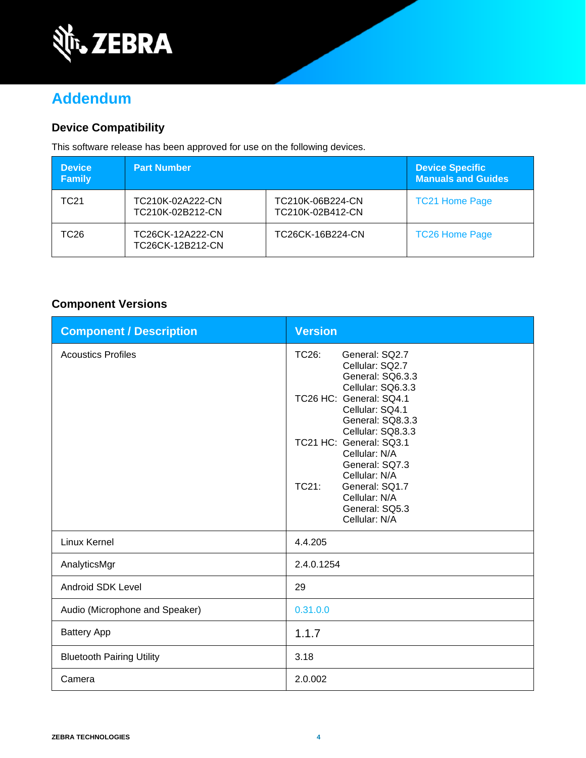

# **Addendum**

#### **Device Compatibility**

This software release has been approved for use on the following devices.

| <b>Device</b><br><b>Family</b> | <b>Part Number</b>                   |                                      | <b>Device Specific</b><br><b>Manuals and Guides</b> |
|--------------------------------|--------------------------------------|--------------------------------------|-----------------------------------------------------|
| TC21                           | TC210K-02A222-CN<br>TC210K-02B212-CN | TC210K-06B224-CN<br>TC210K-02B412-CN | <b>TC21 Home Page</b>                               |
| TC26                           | TC26CK-12A222-CN<br>TC26CK-12B212-CN | TC26CK-16B224-CN                     | <b>TC26 Home Page</b>                               |

#### **Component Versions**

| <b>Component / Description</b>   | <b>Version</b>                                                                                                 |
|----------------------------------|----------------------------------------------------------------------------------------------------------------|
| <b>Acoustics Profiles</b>        | TC26:<br>General: SQ2.7<br>Cellular: SQ2.7<br>General: SQ6.3.3<br>Cellular: SQ6.3.3<br>TC26 HC: General: SQ4.1 |
|                                  | Cellular: SQ4.1<br>General: SQ8.3.3<br>Cellular: SQ8.3.3                                                       |
|                                  | TC21 HC: General: SQ3.1<br>Cellular: N/A<br>General: SQ7.3                                                     |
|                                  | Cellular: N/A<br>TC21:<br>General: SQ1.7<br>Cellular: N/A                                                      |
|                                  | General: SQ5.3<br>Cellular: N/A                                                                                |
| <b>Linux Kernel</b>              | 4.4.205                                                                                                        |
| AnalyticsMgr                     | 2.4.0.1254                                                                                                     |
| <b>Android SDK Level</b>         | 29                                                                                                             |
| Audio (Microphone and Speaker)   | 0.31.0.0                                                                                                       |
| <b>Battery App</b>               | 1.1.7                                                                                                          |
| <b>Bluetooth Pairing Utility</b> | 3.18                                                                                                           |
| Camera                           | 2.0.002                                                                                                        |